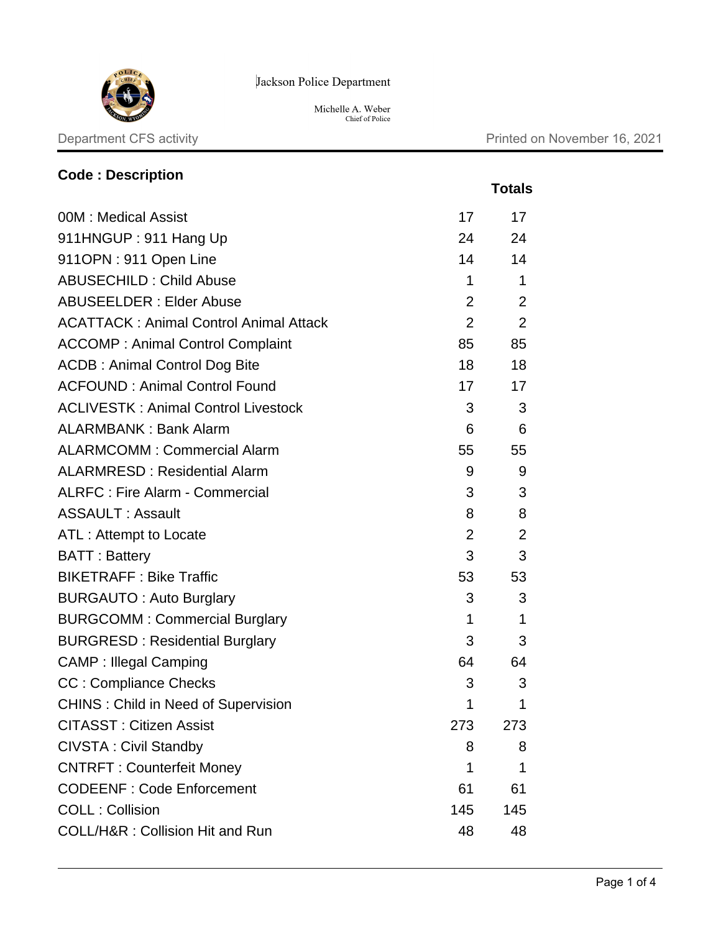

Jackson Police Department

Michelle A. Weber<br>Chief of Police

 **Totals**

# **Code : Description**

| 00M: Medical Assist                           | 17             | 17             |
|-----------------------------------------------|----------------|----------------|
| 911HNGUP: 911 Hang Up                         | 24             | 24             |
| 911OPN: 911 Open Line                         | 14             | 14             |
| <b>ABUSECHILD: Child Abuse</b>                | 1              | 1              |
| <b>ABUSEELDER: Elder Abuse</b>                | $\overline{2}$ | $\overline{2}$ |
| <b>ACATTACK: Animal Control Animal Attack</b> | $\overline{2}$ | $\overline{2}$ |
| <b>ACCOMP: Animal Control Complaint</b>       | 85             | 85             |
| <b>ACDB: Animal Control Dog Bite</b>          | 18             | 18             |
| <b>ACFOUND: Animal Control Found</b>          | 17             | 17             |
| <b>ACLIVESTK: Animal Control Livestock</b>    | 3              | 3              |
| <b>ALARMBANK: Bank Alarm</b>                  | 6              | 6              |
| <b>ALARMCOMM: Commercial Alarm</b>            | 55             | 55             |
| <b>ALARMRESD: Residential Alarm</b>           | 9              | 9              |
| <b>ALRFC: Fire Alarm - Commercial</b>         | 3              | 3              |
| <b>ASSAULT: Assault</b>                       | 8              | 8              |
| ATL: Attempt to Locate                        | $\overline{2}$ | $\overline{2}$ |
| <b>BATT: Battery</b>                          | 3              | 3              |
| <b>BIKETRAFF: Bike Traffic</b>                | 53             | 53             |
| <b>BURGAUTO: Auto Burglary</b>                | 3              | 3              |
| <b>BURGCOMM: Commercial Burglary</b>          | 1              | 1              |
| <b>BURGRESD: Residential Burglary</b>         | 3              | 3              |
| <b>CAMP: Illegal Camping</b>                  | 64             | 64             |
| <b>CC: Compliance Checks</b>                  | 3              | 3              |
| <b>CHINS: Child in Need of Supervision</b>    | 1              | $\mathbf 1$    |
| <b>CITASST : Citizen Assist</b>               | 273            | 273            |
| <b>CIVSTA: Civil Standby</b>                  | 8              | 8              |
| <b>CNTRFT: Counterfeit Money</b>              | 1              | 1              |
| <b>CODEENF: Code Enforcement</b>              | 61             | 61             |
| <b>COLL: Collision</b>                        | 145            | 145            |
| COLL/H&R: Collision Hit and Run               | 48             | 48             |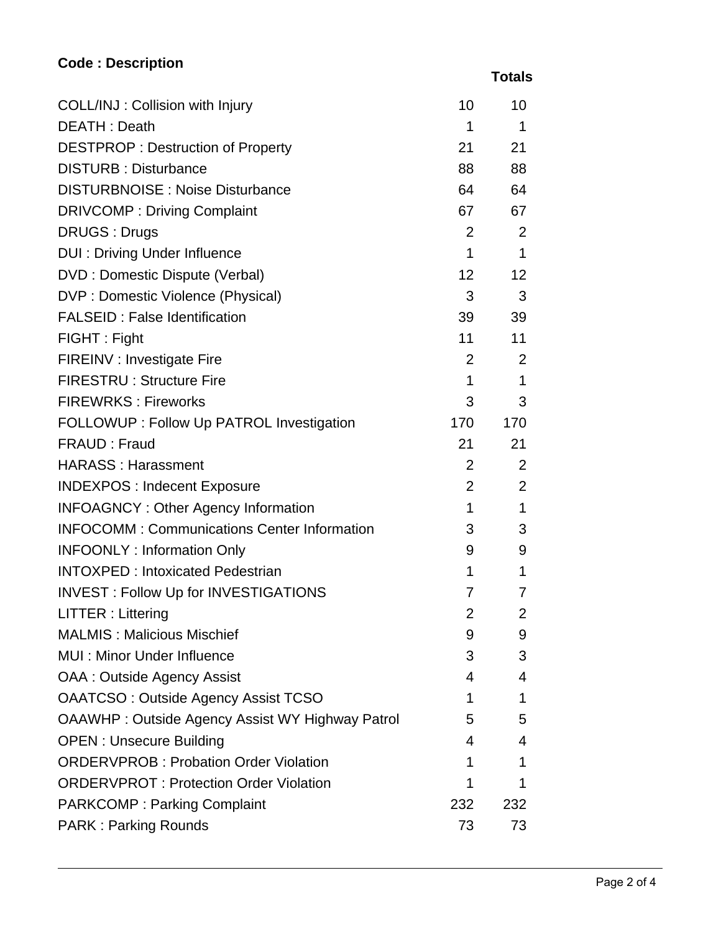## **Code : Description**

 **Totals**

| COLL/INJ: Collision with Injury                        | 10              | 10             |
|--------------------------------------------------------|-----------------|----------------|
| DEATH: Death                                           | 1               | -1             |
| <b>DESTPROP: Destruction of Property</b>               | 21              | 21             |
| <b>DISTURB: Disturbance</b>                            | 88              | 88             |
| <b>DISTURBNOISE: Noise Disturbance</b>                 | 64              | 64             |
| <b>DRIVCOMP: Driving Complaint</b>                     | 67              | 67             |
| <b>DRUGS: Drugs</b>                                    | $\overline{2}$  | 2              |
| <b>DUI: Driving Under Influence</b>                    | $\mathbf 1$     | $\mathbf{1}$   |
| DVD : Domestic Dispute (Verbal)                        | 12 <sub>2</sub> | 12             |
| DVP : Domestic Violence (Physical)                     | 3               | 3              |
| <b>FALSEID: False Identification</b>                   | 39              | 39             |
| FIGHT: Fight                                           | 11              | 11             |
| <b>FIREINV : Investigate Fire</b>                      | $\overline{2}$  | 2              |
| <b>FIRESTRU: Structure Fire</b>                        | 1               | $\mathbf 1$    |
| <b>FIREWRKS: Fireworks</b>                             | 3               | 3              |
| FOLLOWUP : Follow Up PATROL Investigation              | 170             | 170            |
| FRAUD: Fraud                                           | 21              | 21             |
| <b>HARASS: Harassment</b>                              | $\overline{2}$  | 2              |
| <b>INDEXPOS: Indecent Exposure</b>                     | $\overline{2}$  | 2              |
| <b>INFOAGNCY: Other Agency Information</b>             | 1               | 1              |
| <b>INFOCOMM: Communications Center Information</b>     | 3               | 3              |
| <b>INFOONLY: Information Only</b>                      | 9               | 9              |
| <b>INTOXPED: Intoxicated Pedestrian</b>                | 1               | $\mathbf 1$    |
| <b>INVEST: Follow Up for INVESTIGATIONS</b>            | 7               | 7              |
| LITTER : Littering                                     | $\overline{2}$  | $\overline{2}$ |
| <b>MALMIS: Malicious Mischief</b>                      | 9               | 9              |
| MUI : Minor Under Influence                            | 3               | 3              |
| <b>OAA: Outside Agency Assist</b>                      | 4               | 4              |
| <b>OAATCSO: Outside Agency Assist TCSO</b>             | 1               | 1              |
| <b>OAAWHP: Outside Agency Assist WY Highway Patrol</b> | 5               | 5              |
| <b>OPEN: Unsecure Building</b>                         | 4               | 4              |
| <b>ORDERVPROB: Probation Order Violation</b>           | 1               | 1              |
| <b>ORDERVPROT: Protection Order Violation</b>          | 1               | 1              |
| <b>PARKCOMP: Parking Complaint</b>                     | 232             | 232            |
| <b>PARK: Parking Rounds</b>                            | 73              | 73             |
|                                                        |                 |                |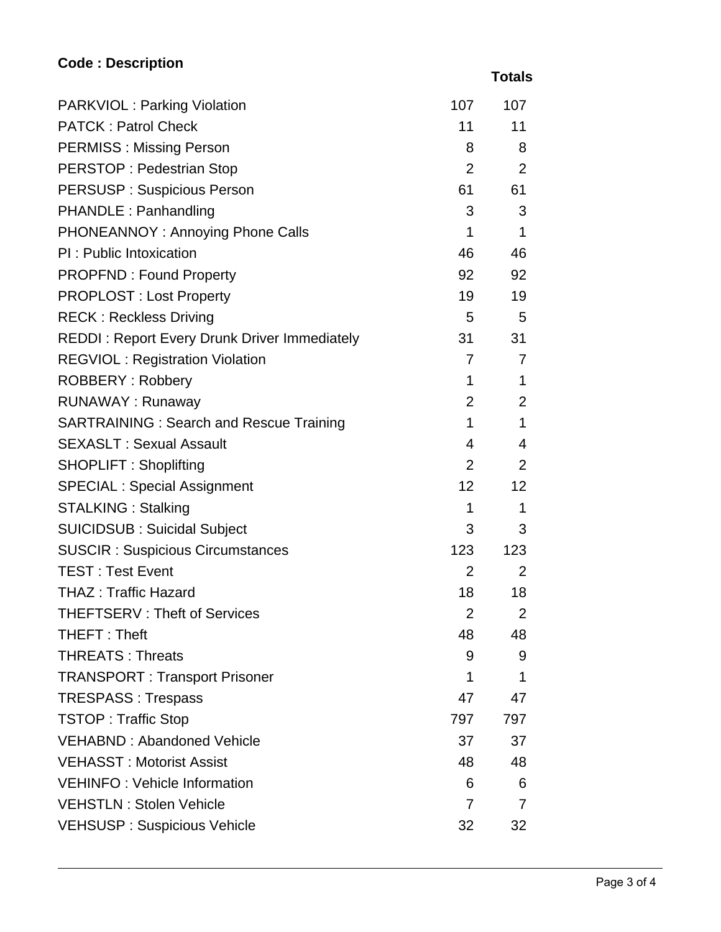## **Code : Description**

| <b>PARKVIOL: Parking Violation</b>                  | 107             | 107             |
|-----------------------------------------------------|-----------------|-----------------|
| <b>PATCK: Patrol Check</b>                          | 11              | 11              |
| <b>PERMISS: Missing Person</b>                      | 8               | 8               |
| <b>PERSTOP: Pedestrian Stop</b>                     | $\overline{2}$  | 2               |
| <b>PERSUSP: Suspicious Person</b>                   | 61              | 61              |
| <b>PHANDLE: Panhandling</b>                         | 3               | 3               |
| PHONEANNOY: Annoying Phone Calls                    | $\mathbf{1}$    | $\mathbf 1$     |
| PI: Public Intoxication                             | 46              | 46              |
| <b>PROPFND: Found Property</b>                      | 92              | 92              |
| <b>PROPLOST: Lost Property</b>                      | 19              | 19              |
| <b>RECK: Reckless Driving</b>                       | $5\overline{)}$ | 5               |
| <b>REDDI: Report Every Drunk Driver Immediately</b> | 31              | 31              |
| <b>REGVIOL: Registration Violation</b>              | $\overline{7}$  | 7               |
| <b>ROBBERY: Robbery</b>                             | $\mathbf{1}$    | $\mathbf 1$     |
| <b>RUNAWAY: Runaway</b>                             | 2               | 2               |
| <b>SARTRAINING: Search and Rescue Training</b>      | $\mathbf{1}$    | 1               |
| <b>SEXASLT: Sexual Assault</b>                      | $\overline{4}$  | 4               |
| <b>SHOPLIFT: Shoplifting</b>                        | $\overline{2}$  | 2               |
| <b>SPECIAL: Special Assignment</b>                  | 12              | 12 <sup>2</sup> |
| <b>STALKING: Stalking</b>                           | 1               | $\mathbf 1$     |
| <b>SUICIDSUB: Suicidal Subject</b>                  | 3               | 3               |
| <b>SUSCIR: Suspicious Circumstances</b>             | 123             | 123             |
| <b>TEST: Test Event</b>                             | $\overline{2}$  | 2               |
| <b>THAZ: Traffic Hazard</b>                         | 18              | 18              |
| <b>THEFTSERV: Theft of Services</b>                 | $\overline{2}$  | 2               |
| THEFT: Theft                                        | 48              | 48              |
| <b>THREATS: Threats</b>                             | 9               | 9               |
| <b>TRANSPORT: Transport Prisoner</b>                | 1               | 1               |
| <b>TRESPASS: Trespass</b>                           | 47              | 47              |
| <b>TSTOP: Traffic Stop</b>                          | 797             | 797             |
| <b>VEHABND: Abandoned Vehicle</b>                   | 37              | 37              |
| <b>VEHASST: Motorist Assist</b>                     | 48              | 48              |
| <b>VEHINFO: Vehicle Information</b>                 | 6               | 6               |
| <b>VEHSTLN: Stolen Vehicle</b>                      | 7               | 7               |
| <b>VEHSUSP: Suspicious Vehicle</b>                  | 32              | 32              |